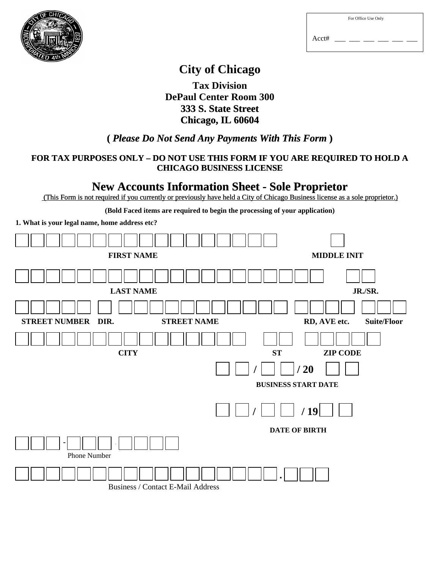

| For Office Use Only |  |
|---------------------|--|
|                     |  |

Acct# \_\_\_ \_\_\_ \_\_\_ \_\_\_ \_\_\_ \_\_\_

## **City of Chicago**

**Tax Division DePaul Center Room 300 333 S. State Street Chicago, IL 60604** 

## **(** *Please Do Not Send Any Payments With This Form* **)**

## **FOR TAX PURPOSES ONLY – DO NOT USE THIS FORM IF YOU ARE REQUIRED TO HOLD A CHICAGO BUSINESS LICENSE**

## **New Accounts Information Sheet - Sole Proprietor**

(This Form is not required if you currently or previously have held a City of Chicago Business license as a sole proprietor.)

**(Bold Faced items are required to begin the processing of your application)** 

**1. What is your legal name, home address etc?** 

|                              | <b>FIRST NAME</b>                        |    | <b>MIDDLE INIT</b>                 |
|------------------------------|------------------------------------------|----|------------------------------------|
|                              |                                          |    |                                    |
|                              | <b>LAST NAME</b>                         |    | JR./SR.                            |
|                              |                                          |    |                                    |
| <b>STREET NUMBER</b><br>DIR. | <b>STREET NAME</b>                       |    | RD, AVE etc.<br><b>Suite/Floor</b> |
|                              | <b>CITY</b>                              | ST | <b>ZIP CODE</b>                    |
|                              |                                          |    | /20                                |
|                              |                                          |    | <b>BUSINESS START DATE</b>         |
|                              |                                          |    | /19                                |
|                              |                                          |    | <b>DATE OF BIRTH</b>               |
| Phone Number                 |                                          |    |                                    |
|                              | <b>Business / Contact E-Mail Address</b> |    |                                    |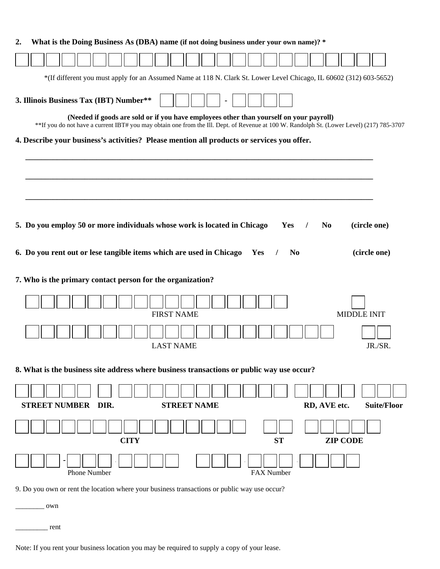| *(If different you must apply for an Assumed Name at 118 N. Clark St. Lower Level Chicago, IL 60602 (312) 603-5652)<br>3. Illinois Business Tax (IBT) Number**<br>(Needed if goods are sold or if you have employees other than yourself on your payroll)<br>**If you do not have a current IBT# you may obtain one from the Ill. Dept. of Revenue at 100 W. Randolph St. (Lower Level) (217) 785-3707<br>4. Describe your business's activities? Please mention all products or services you offer.<br>5. Do you employ 50 or more individuals whose work is located in Chicago<br>Yes<br>N <sub>0</sub><br>(circle one)<br>6. Do you rent out or lese tangible items which are used in Chicago<br>(circle one)<br>N <sub>0</sub><br>Yes<br>7. Who is the primary contact person for the organization?<br><b>FIRST NAME</b><br><b>MIDDLE INIT</b><br>JR./SR<br><b>LAST NAME</b><br>8. What is the business site address where business transactions or public way use occur?<br><b>STREET NUMBER DIR.</b><br><b>STREET NAME</b><br>RD, AVE etc.<br><b>Suite/Floor</b><br><b>CITY</b><br><b>ZIP CODE</b><br><b>ST</b><br>Phone Number<br>FAX Number<br>9. Do you own or rent the location where your business transactions or public way use occur?<br>own | 2. |  |  | What is the Doing Business As (DBA) name (if not doing business under your own name)? * |  |  |  |  |  |  |  |
|------------------------------------------------------------------------------------------------------------------------------------------------------------------------------------------------------------------------------------------------------------------------------------------------------------------------------------------------------------------------------------------------------------------------------------------------------------------------------------------------------------------------------------------------------------------------------------------------------------------------------------------------------------------------------------------------------------------------------------------------------------------------------------------------------------------------------------------------------------------------------------------------------------------------------------------------------------------------------------------------------------------------------------------------------------------------------------------------------------------------------------------------------------------------------------------------------------------------------------------------------------|----|--|--|-----------------------------------------------------------------------------------------|--|--|--|--|--|--|--|
|                                                                                                                                                                                                                                                                                                                                                                                                                                                                                                                                                                                                                                                                                                                                                                                                                                                                                                                                                                                                                                                                                                                                                                                                                                                            |    |  |  |                                                                                         |  |  |  |  |  |  |  |
|                                                                                                                                                                                                                                                                                                                                                                                                                                                                                                                                                                                                                                                                                                                                                                                                                                                                                                                                                                                                                                                                                                                                                                                                                                                            |    |  |  |                                                                                         |  |  |  |  |  |  |  |
|                                                                                                                                                                                                                                                                                                                                                                                                                                                                                                                                                                                                                                                                                                                                                                                                                                                                                                                                                                                                                                                                                                                                                                                                                                                            |    |  |  |                                                                                         |  |  |  |  |  |  |  |
|                                                                                                                                                                                                                                                                                                                                                                                                                                                                                                                                                                                                                                                                                                                                                                                                                                                                                                                                                                                                                                                                                                                                                                                                                                                            |    |  |  |                                                                                         |  |  |  |  |  |  |  |
|                                                                                                                                                                                                                                                                                                                                                                                                                                                                                                                                                                                                                                                                                                                                                                                                                                                                                                                                                                                                                                                                                                                                                                                                                                                            |    |  |  |                                                                                         |  |  |  |  |  |  |  |
|                                                                                                                                                                                                                                                                                                                                                                                                                                                                                                                                                                                                                                                                                                                                                                                                                                                                                                                                                                                                                                                                                                                                                                                                                                                            |    |  |  |                                                                                         |  |  |  |  |  |  |  |
|                                                                                                                                                                                                                                                                                                                                                                                                                                                                                                                                                                                                                                                                                                                                                                                                                                                                                                                                                                                                                                                                                                                                                                                                                                                            |    |  |  |                                                                                         |  |  |  |  |  |  |  |
|                                                                                                                                                                                                                                                                                                                                                                                                                                                                                                                                                                                                                                                                                                                                                                                                                                                                                                                                                                                                                                                                                                                                                                                                                                                            |    |  |  |                                                                                         |  |  |  |  |  |  |  |
|                                                                                                                                                                                                                                                                                                                                                                                                                                                                                                                                                                                                                                                                                                                                                                                                                                                                                                                                                                                                                                                                                                                                                                                                                                                            |    |  |  |                                                                                         |  |  |  |  |  |  |  |
|                                                                                                                                                                                                                                                                                                                                                                                                                                                                                                                                                                                                                                                                                                                                                                                                                                                                                                                                                                                                                                                                                                                                                                                                                                                            |    |  |  |                                                                                         |  |  |  |  |  |  |  |
|                                                                                                                                                                                                                                                                                                                                                                                                                                                                                                                                                                                                                                                                                                                                                                                                                                                                                                                                                                                                                                                                                                                                                                                                                                                            |    |  |  |                                                                                         |  |  |  |  |  |  |  |
|                                                                                                                                                                                                                                                                                                                                                                                                                                                                                                                                                                                                                                                                                                                                                                                                                                                                                                                                                                                                                                                                                                                                                                                                                                                            |    |  |  |                                                                                         |  |  |  |  |  |  |  |
|                                                                                                                                                                                                                                                                                                                                                                                                                                                                                                                                                                                                                                                                                                                                                                                                                                                                                                                                                                                                                                                                                                                                                                                                                                                            |    |  |  |                                                                                         |  |  |  |  |  |  |  |
|                                                                                                                                                                                                                                                                                                                                                                                                                                                                                                                                                                                                                                                                                                                                                                                                                                                                                                                                                                                                                                                                                                                                                                                                                                                            |    |  |  |                                                                                         |  |  |  |  |  |  |  |
|                                                                                                                                                                                                                                                                                                                                                                                                                                                                                                                                                                                                                                                                                                                                                                                                                                                                                                                                                                                                                                                                                                                                                                                                                                                            |    |  |  |                                                                                         |  |  |  |  |  |  |  |
|                                                                                                                                                                                                                                                                                                                                                                                                                                                                                                                                                                                                                                                                                                                                                                                                                                                                                                                                                                                                                                                                                                                                                                                                                                                            |    |  |  |                                                                                         |  |  |  |  |  |  |  |
|                                                                                                                                                                                                                                                                                                                                                                                                                                                                                                                                                                                                                                                                                                                                                                                                                                                                                                                                                                                                                                                                                                                                                                                                                                                            |    |  |  |                                                                                         |  |  |  |  |  |  |  |
|                                                                                                                                                                                                                                                                                                                                                                                                                                                                                                                                                                                                                                                                                                                                                                                                                                                                                                                                                                                                                                                                                                                                                                                                                                                            |    |  |  |                                                                                         |  |  |  |  |  |  |  |
|                                                                                                                                                                                                                                                                                                                                                                                                                                                                                                                                                                                                                                                                                                                                                                                                                                                                                                                                                                                                                                                                                                                                                                                                                                                            |    |  |  |                                                                                         |  |  |  |  |  |  |  |
|                                                                                                                                                                                                                                                                                                                                                                                                                                                                                                                                                                                                                                                                                                                                                                                                                                                                                                                                                                                                                                                                                                                                                                                                                                                            |    |  |  |                                                                                         |  |  |  |  |  |  |  |
|                                                                                                                                                                                                                                                                                                                                                                                                                                                                                                                                                                                                                                                                                                                                                                                                                                                                                                                                                                                                                                                                                                                                                                                                                                                            |    |  |  |                                                                                         |  |  |  |  |  |  |  |

\_\_\_\_\_\_\_\_\_ rent

Note: If you rent your business location you may be required to supply a copy of your lease.